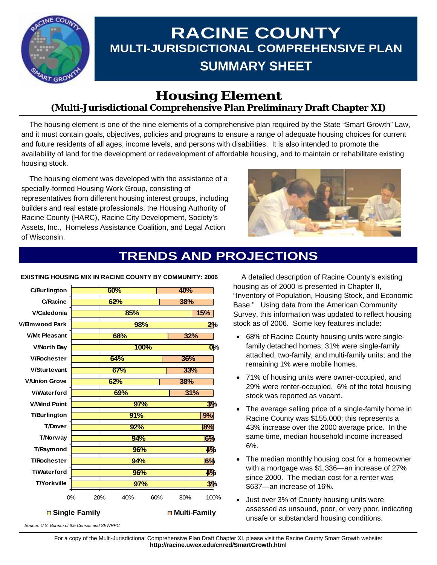

# **RACINE COUNTY MULTI-JURISDICTIONAL COMPREHENSIVE PLAN SUMMARY SHEET**

### **Housing Element (Multi-Jurisdictional Comprehensive Plan Preliminary Draft Chapter XI)**

 The housing element is one of the nine elements of a comprehensive plan required by the State "Smart Growth" Law, and it must contain goals, objectives, policies and programs to ensure a range of adequate housing choices for current and future residents of all ages, income levels, and persons with disabilities. It is also intended to promote the availability of land for the development or redevelopment of affordable housing, and to maintain or rehabilitate existing housing stock.

 The housing element was developed with the assistance of a specially-formed Housing Work Group, consisting of representatives from different housing interest groups, including builders and real estate professionals, the Housing Authority of Racine County (HARC), Racine City Development, Society's Assets, Inc., Homeless Assistance Coalition, and Legal Action of Wisconsin.



## **TRENDS AND PROJECTIONS**

| <b>C/Burlington</b>               | 60%              |     | 40% |              |
|-----------------------------------|------------------|-----|-----|--------------|
|                                   |                  |     |     |              |
| <b>C/Racine</b>                   | 62%              |     | 38% |              |
| V/Caledonia                       |                  | 85% |     | 15%          |
| V/Elmwood Park                    |                  | 98% |     | 2%           |
| <b>V/Mt Pleasant</b>              | 68%              |     | 32% |              |
| <b>V/North Bay</b>                | 100%             |     |     | $O_{\infty}$ |
| <b>V/Rochester</b>                | 64%              |     | 36% |              |
| <b>V/Sturtevant</b>               | 67%              |     | 33% |              |
| <b>V/Union Grove</b>              | 62%              |     | 38% |              |
| <b>V/Waterford</b>                | 69%              |     | 31% |              |
| <b>V/Wind Point</b>               |                  | 97% |     | 3%           |
| <b>T/Burlington</b>               |                  | 91% |     | 9%           |
| <b>T/Dover</b>                    |                  | 92% |     | 8%           |
| T/Norway                          |                  | 94% |     | 6%           |
| T/Raymond                         |                  | 96% |     | 4%           |
| <b>T/Rochester</b>                |                  | 94% |     | 6%           |
| <b>T/Waterford</b>                |                  | 96% |     | 4%           |
| <b>T/Yorkville</b>                |                  | 97% |     | 3%           |
|                                   | 0%<br>20%<br>40% | 60% | 80% | 100%         |
| □ Single Family<br>□ Multi-Family |                  |     |     |              |

#### **EXISTING HOUSING MIX IN RACINE COUNTY BY COMMUNITY: 2006**

 A detailed description of Racine County's existing housing as of 2000 is presented in Chapter II, "Inventory of Population, Housing Stock, and Economic Base." Using data from the American Community Survey, this information was updated to reflect housing stock as of 2006. Some key features include:

- 68% of Racine County housing units were singlefamily detached homes; 31% were single-family attached, two-family, and multi-family units; and the remaining 1% were mobile homes.
- 71% of housing units were owner-occupied, and 29% were renter-occupied. 6% of the total housing stock was reported as vacant.
- The average selling price of a single-family home in Racine County was \$155,000; this represents a 43% increase over the 2000 average price. In the same time, median household income increased 6%.
- The median monthly housing cost for a homeowner with a mortgage was \$1,336—an increase of 27% since 2000. The median cost for a renter was \$637—an increase of 16%.
- Just over 3% of County housing units were assessed as unsound, poor, or very poor, indicating unsafe or substandard housing conditions.

*Source: U.S. Bureau of the Census and SEWRPC* 

For a copy of the Multi-Jurisdictional Comprehensive Plan Draft Chapter XI, please visit the Racine County Smart Growth website: **http://racine.uwex.edu/cnred/SmartGrowth.html**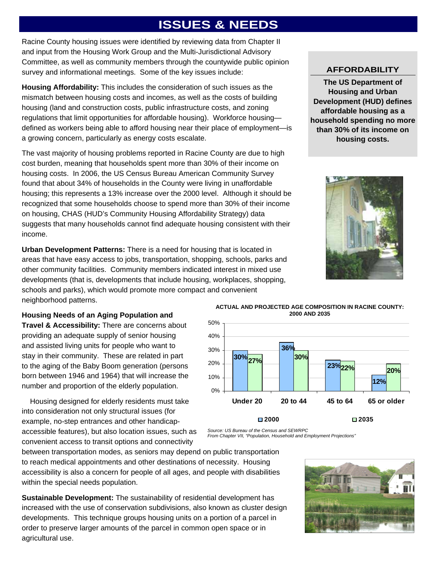# **ISSUES & NEEDS**

Racine County housing issues were identified by reviewing data from Chapter II and input from the Housing Work Group and the Multi-Jurisdictional Advisory Committee, as well as community members through the countywide public opinion survey and informational meetings. Some of the key issues include:

**Housing Affordability:** This includes the consideration of such issues as the mismatch between housing costs and incomes, as well as the costs of building housing (land and construction costs, public infrastructure costs, and zoning regulations that limit opportunities for affordable housing). Workforce housing defined as workers being able to afford housing near their place of employment—is a growing concern, particularly as energy costs escalate.

The vast majority of housing problems reported in Racine County are due to high cost burden, meaning that households spent more than 30% of their income on housing costs. In 2006, the US Census Bureau American Community Survey found that about 34% of households in the County were living in unaffordable housing; this represents a 13% increase over the 2000 level. Although it should be recognized that some households choose to spend more than 30% of their income on housing, CHAS (HUD's Community Housing Affordability Strategy) data suggests that many households cannot find adequate housing consistent with their income.

**Urban Development Patterns:** There is a need for housing that is located in areas that have easy access to jobs, transportation, shopping, schools, parks and other community facilities. Community members indicated interest in mixed use developments (that is, developments that include housing, workplaces, shopping, schools and parks), which would promote more compact and convenient neighborhood patterns.

**Housing Needs of an Aging Population and** 

**Travel & Accessibility:** There are concerns about providing an adequate supply of senior housing and assisted living units for people who want to stay in their community. These are related in part to the aging of the Baby Boom generation (persons born between 1946 and 1964) that will increase the number and proportion of the elderly population.

 Housing designed for elderly residents must take into consideration not only structural issues (for example, no-step entrances and other handicapaccessible features), but also location issues, such as convenient access to transit options and connectivity

**ACTUAL AND PROJECTED AGE COMPOSITION IN RACINE COUNTY: 2000 AND 2035** 



*Source: US Bureau of the Census and SEWRPC* 

*From Chapter VII, "Population, Household and Employment Projections"* 

between transportation modes, as seniors may depend on public transportation to reach medical appointments and other destinations of necessity. Housing accessibility is also a concern for people of all ages, and people with disabilities within the special needs population.

**Sustainable Development:** The sustainability of residential development has increased with the use of conservation subdivisions, also known as cluster design developments. This technique groups housing units on a portion of a parcel in order to preserve larger amounts of the parcel in common open space or in agricultural use.



#### **AFFORDABILITY**

**The US Department of Housing and Urban Development (HUD) defines affordable housing as a household spending no more than 30% of its income on housing costs.** 

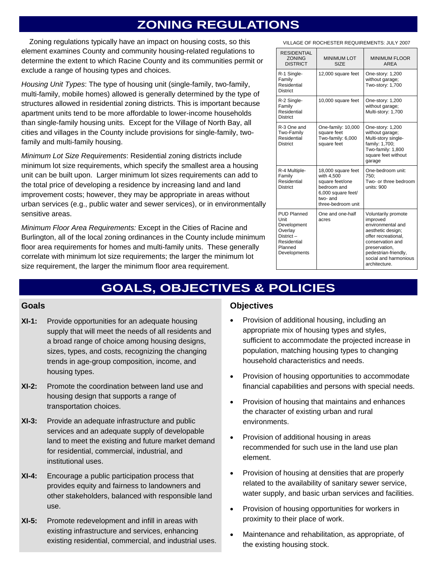## **ZONING REGULATIONS**

 Zoning regulations typically have an impact on housing costs, so this element examines County and community housing-related regulations to determine the extent to which Racine County and its communities permit or exclude a range of housing types and choices.

*Housing Unit Types*: The type of housing unit (single-family, two-family, multi-family, mobile homes) allowed is generally determined by the type of structures allowed in residential zoning districts. This is important because apartment units tend to be more affordable to lower-income households than single-family housing units. Except for the Village of North Bay, all cities and villages in the County include provisions for single-family, twofamily and multi-family housing.

*Minimum Lot Size Requirements*: Residential zoning districts include minimum lot size requirements, which specify the smallest area a housing unit can be built upon. Larger minimum lot sizes requirements can add to the total price of developing a residence by increasing land and land improvement costs; however, they may be appropriate in areas without urban services (e.g., public water and sewer services), or in environmentally sensitive areas.

*Minimum Floor Area Requirements:* Except in the Cities of Racine and Burlington, all of the local zoning ordinances in the County include minimum floor area requirements for homes and multi-family units. These generally correlate with minimum lot size requirements; the larger the minimum lot size requirement, the larger the minimum floor area requirement.

VILLAGE OF ROCHESTER REQUIREMENTS: JULY 2007

| <b>RESIDENTIAL</b><br><b>ZONING</b><br><b>DISTRICT</b>                                                      | <b>MINIMUM LOT</b><br><b>SIZE</b>                                                                                         | <b>MINIMUM FLOOR</b><br>AREA                                                                                                                                                                            |
|-------------------------------------------------------------------------------------------------------------|---------------------------------------------------------------------------------------------------------------------------|---------------------------------------------------------------------------------------------------------------------------------------------------------------------------------------------------------|
| R-1 Single-<br>Family<br>Residential<br><b>District</b>                                                     | 12,000 square feet                                                                                                        | One-story: 1,200<br>without garage;<br>Two-story: 1,700                                                                                                                                                 |
| R-2 Single-<br>Family<br>Residential<br><b>District</b>                                                     | 10,000 square feet                                                                                                        | One-story: 1,200<br>without garage;<br>Multi-story: 1,700                                                                                                                                               |
| R-3 One and<br>Two-Family<br>Residential<br>District                                                        | One-family: 10,000<br>square feet<br>Two-family: 6,000<br>square feet                                                     | One-story: 1,200<br>without garage;<br>Multi-story single-<br>family: 1,700;<br>Two-family: 1,800<br>square feet without<br>garage                                                                      |
| R-4 Multiple-<br>Family<br>Residential<br><b>District</b>                                                   | 18,000 square feet<br>with 4,500<br>square feet/one<br>bedroom and<br>6,000 square feet/<br>two-and<br>three-bedroom unit | One-bedroom unit:<br>750;<br>Two- or three bedroom<br>units: $900$                                                                                                                                      |
| <b>PUD Planned</b><br>Unit<br>Development<br>Overlay<br>District-<br>Residential<br>Planned<br>Developments | One and one-half<br>acres                                                                                                 | Voluntarily promote<br>improved<br>environmental and<br>aesthetic design;<br>offer recreational.<br>conservation and<br>preservation,<br>pedestrian-friendly,<br>social and harmonious<br>architecture. |

## **GOALS, OBJECTIVES & POLICIES**

#### **Goals**

- **XI-1:** Provide opportunities for an adequate housing supply that will meet the needs of all residents and a broad range of choice among housing designs, sizes, types, and costs, recognizing the changing trends in age-group composition, income, and housing types.
- **XI-2:** Promote the coordination between land use and housing design that supports a range of transportation choices.
- **XI-3:** Provide an adequate infrastructure and public services and an adequate supply of developable land to meet the existing and future market demand for residential, commercial, industrial, and institutional uses.
- **XI-4:** Encourage a public participation process that provides equity and fairness to landowners and other stakeholders, balanced with responsible land use.
- **XI-5:** Promote redevelopment and infill in areas with existing infrastructure and services, enhancing existing residential, commercial, and industrial uses.

#### **Objectives**

- Provision of additional housing, including an appropriate mix of housing types and styles, sufficient to accommodate the projected increase in population, matching housing types to changing household characteristics and needs.
- Provision of housing opportunities to accommodate financial capabilities and persons with special needs.
- Provision of housing that maintains and enhances the character of existing urban and rural environments.
- Provision of additional housing in areas recommended for such use in the land use plan element.
- Provision of housing at densities that are properly related to the availability of sanitary sewer service, water supply, and basic urban services and facilities.
- Provision of housing opportunities for workers in proximity to their place of work.
- Maintenance and rehabilitation, as appropriate, of the existing housing stock.